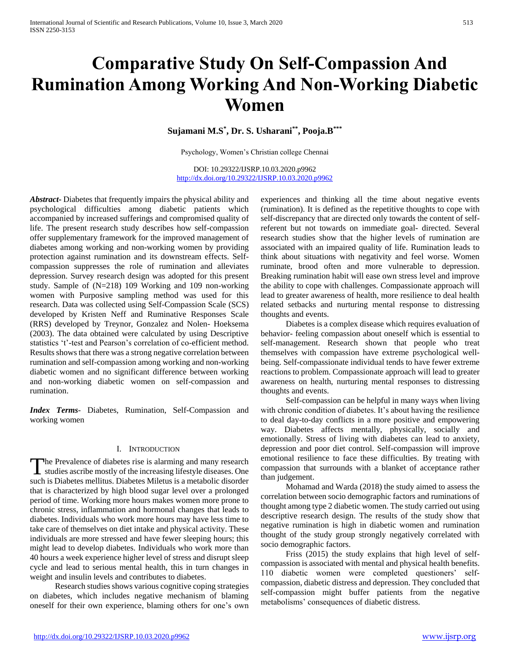# **Comparative Study On Self-Compassion And Rumination Among Working And Non-Working Diabetic Women**

### **Sujamani M.S\* , Dr. S. Usharani\*\*, Pooja.B\*\*\***

Psychology, Women's Christian college Chennai

DOI: 10.29322/IJSRP.10.03.2020.p9962 <http://dx.doi.org/10.29322/IJSRP.10.03.2020.p9962>

*Abstract***-** Diabetes that frequently impairs the physical ability and psychological difficulties among diabetic patients which accompanied by increased sufferings and compromised quality of life. The present research study describes how self-compassion offer supplementary framework for the improved management of diabetes among working and non-working women by providing protection against rumination and its downstream effects. Selfcompassion suppresses the role of rumination and alleviates depression. Survey research design was adopted for this present study. Sample of (N=218) 109 Working and 109 non-working women with Purposive sampling method was used for this research. Data was collected using Self-Compassion Scale (SCS) developed by Kristen Neff and Ruminative Responses Scale (RRS) developed by Treynor, Gonzalez and Nolen- Hoeksema (2003). The data obtained were calculated by using Descriptive statistics 't'-test and Pearson's correlation of co-efficient method. Results shows that there was a strong negative correlation between rumination and self-compassion among working and non-working diabetic women and no significant difference between working and non-working diabetic women on self-compassion and rumination.

*Index Terms*- Diabetes, Rumination, Self-Compassion and working women

### I. INTRODUCTION

The Prevalence of diabetes rise is alarming and many research The Prevalence of diabetes rise is alarming and many research<br>studies ascribe mostly of the increasing lifestyle diseases. One such is Diabetes mellitus. Diabetes Miletus is a metabolic disorder that is characterized by high blood sugar level over a prolonged period of time. Working more hours makes women more prone to chronic stress, inflammation and hormonal changes that leads to diabetes. Individuals who work more hours may have less time to take care of themselves on diet intake and physical activity. These individuals are more stressed and have fewer sleeping hours; this might lead to develop diabetes. Individuals who work more than 40 hours a week experience higher level of stress and disrupt sleep cycle and lead to serious mental health, this in turn changes in weight and insulin levels and contributes to diabetes.

 Research studies shows various cognitive coping strategies on diabetes, which includes negative mechanism of blaming oneself for their own experience, blaming others for one's own experiences and thinking all the time about negative events (rumination). It is defined as the repetitive thoughts to cope with self-discrepancy that are directed only towards the content of selfreferent but not towards on immediate goal- directed. Several research studies show that the higher levels of rumination are associated with an impaired quality of life. Rumination leads to think about situations with negativity and feel worse. Women ruminate, brood often and more vulnerable to depression. Breaking rumination habit will ease own stress level and improve the ability to cope with challenges. Compassionate approach will lead to greater awareness of health, more resilience to deal health related setbacks and nurturing mental response to distressing thoughts and events.

 Diabetes is a complex disease which requires evaluation of behavior- feeling compassion about oneself which is essential to self-management. Research shown that people who treat themselves with compassion have extreme psychological wellbeing. Self-compassionate individual tends to have fewer extreme reactions to problem. Compassionate approach will lead to greater awareness on health, nurturing mental responses to distressing thoughts and events.

 Self-compassion can be helpful in many ways when living with chronic condition of diabetes. It's about having the resilience to deal day-to-day conflicts in a more positive and empowering way. Diabetes affects mentally, physically, socially and emotionally. Stress of living with diabetes can lead to anxiety, depression and poor diet control. Self-compassion will improve emotional resilience to face these difficulties. By treating with compassion that surrounds with a blanket of acceptance rather than judgement.

 Mohamad and Warda (2018) the study aimed to assess the correlation between socio demographic factors and ruminations of thought among type 2 diabetic women. The study carried out using descriptive research design. The results of the study show that negative rumination is high in diabetic women and rumination thought of the study group strongly negatively correlated with socio demographic factors.

 Friss (2015) the study explains that high level of selfcompassion is associated with mental and physical health benefits. 110 diabetic women were completed questioners' selfcompassion, diabetic distress and depression. They concluded that self-compassion might buffer patients from the negative metabolisms' consequences of diabetic distress.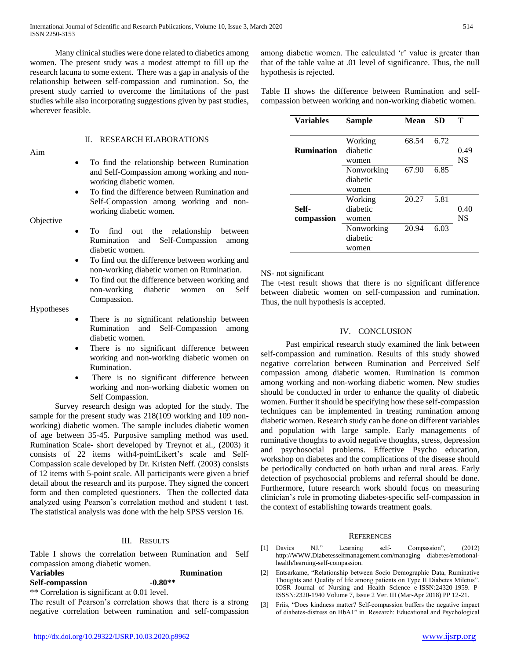Many clinical studies were done related to diabetics among women. The present study was a modest attempt to fill up the research lacuna to some extent. There was a gap in analysis of the relationship between self-compassion and rumination. So, the present study carried to overcome the limitations of the past studies while also incorporating suggestions given by past studies, wherever feasible.

Aim

### II. RESEARCH ELABORATIONS

- To find the relationship between Rumination and Self-Compassion among working and nonworking diabetic women.
- To find the difference between Rumination and Self-Compassion among working and nonworking diabetic women.
- **Objective**
- To find out the relationship between Rumination and Self-Compassion among diabetic women.
- To find out the difference between working and non-working diabetic women on Rumination.
- To find out the difference between working and non-working diabetic women on Self Compassion.

### Hypotheses

- There is no significant relationship between Rumination and Self-Compassion among diabetic women.
- There is no significant difference between working and non-working diabetic women on Rumination.
- There is no significant difference between working and non-working diabetic women on Self Compassion.

 Survey research design was adopted for the study. The sample for the present study was 218(109 working and 109 nonworking) diabetic women. The sample includes diabetic women of age between 35-45. Purposive sampling method was used. Rumination Scale- short developed by Treynot et al., (2003) it consists of 22 items with4-pointLikert's scale and Self-Compassion scale developed by Dr. Kristen Neff. (2003) consists of 12 items with 5-point scale. All participants were given a brief detail about the research and its purpose. They signed the concert form and then completed questioners. Then the collected data analyzed using Pearson's correlation method and student t test. The statistical analysis was done with the help SPSS version 16.

### III. RESULTS

Table I shows the correlation between Rumination and Self compassion among diabetic women.

## **Variables Rumination**

 $Self-compassion$ \*\* Correlation is significant at 0.01 level.

The result of Pearson's correlation shows that there is a strong negative correlation between rumination and self-compassion among diabetic women. The calculated 'r' value is greater than that of the table value at .01 level of significance. Thus, the null hypothesis is rejected.

Table II shows the difference between Rumination and selfcompassion between working and non-working diabetic women.

| <b>Variables</b>  | <b>Sample</b> | <b>Mean</b> | <b>SD</b> | Т         |
|-------------------|---------------|-------------|-----------|-----------|
|                   |               |             |           |           |
|                   | Working       | 68.54       | 6.72      |           |
| <b>Rumination</b> | diabetic      |             |           | 0.49      |
|                   | women         |             |           | <b>NS</b> |
|                   | Nonworking    | 67.90       | 6.85      |           |
|                   | diabetic      |             |           |           |
|                   | women         |             |           |           |
|                   | Working       | 20.27       | 5.81      |           |
| Self-             | diabetic      |             |           | 0.40      |
| compassion        | women         |             |           | <b>NS</b> |
|                   | Nonworking    | 20.94       | 6.03      |           |
|                   | diabetic      |             |           |           |
|                   | women         |             |           |           |

### NS- not significant

The t-test result shows that there is no significant difference between diabetic women on self-compassion and rumination. Thus, the null hypothesis is accepted.

### IV. CONCLUSION

 Past empirical research study examined the link between self-compassion and rumination. Results of this study showed negative correlation between Rumination and Perceived Self compassion among diabetic women. Rumination is common among working and non-working diabetic women. New studies should be conducted in order to enhance the quality of diabetic women. Further it should be specifying how these self-compassion techniques can be implemented in treating rumination among diabetic women. Research study can be done on different variables and population with large sample. Early managements of ruminative thoughts to avoid negative thoughts, stress, depression and psychosocial problems. Effective Psycho education, workshop on diabetes and the complications of the disease should be periodically conducted on both urban and rural areas. Early detection of psychosocial problems and referral should be done. Furthermore, future research work should focus on measuring clinician's role in promoting diabetes-specific self-compassion in the context of establishing towards treatment goals.

### **REFERENCES**

- [1] Davies NJ," Learning self- Compassion", (2012) http://WWW.Diabetesselfmanagement.com/managing diabetes/emotionalhealth/learning-self-compassion.
- [2] Entsarkame, "Relationship between Socio Demographic Data, Ruminative Thoughts and Quality of life among patients on Type II Diabetes Miletus". IOSR Journal of Nursing and Health Science e-ISSN:24320-1959. P-ISSSN:2320-1940 Volume 7, Issue 2 Ver. III (Mar-Apr 2018) PP 12-21.
- Friis, "Does kindness matter? Self-compassion buffers the negative impact of diabetes‐distress on HbA1" in Research: Educational and Psychological